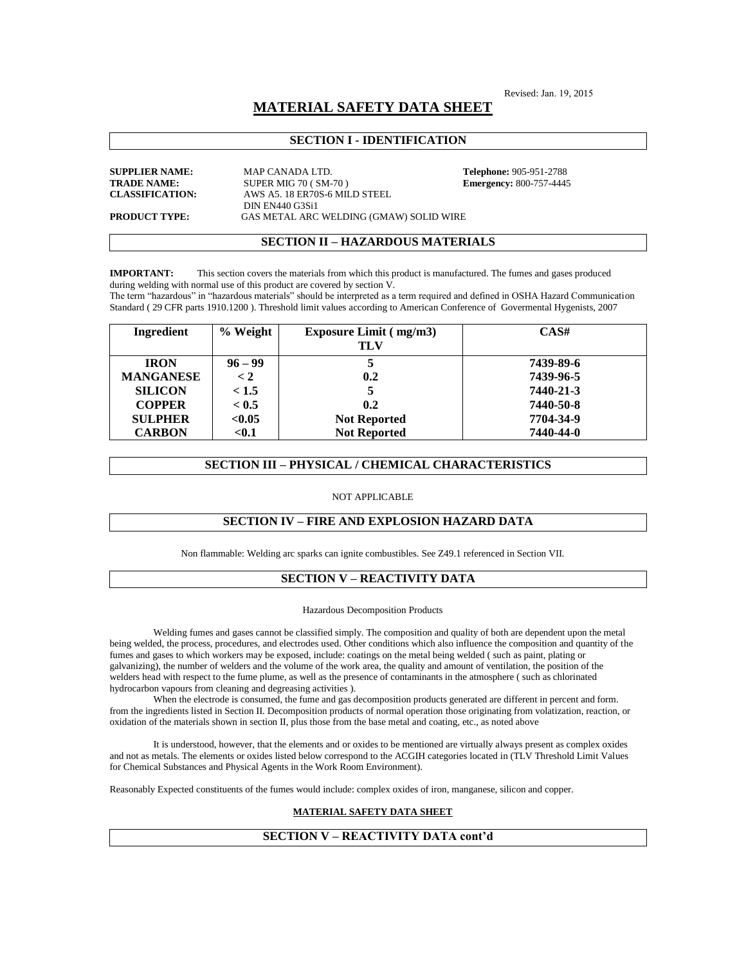Revised: Jan. 19, 2015

# **MATERIAL SAFETY DATA SHEET**

# **SECTION I - IDENTIFICATION**

**SUPPLIER NAME:** MAP CANADA LTD. **Telephone:** 905-951-2788 **TRADE NAME:** SUPER MIG 70 ( SM-70 ) **Emergency:** 800-757-4445 **CLASSIFICATION:** AWS A5. 18 ER70S-6 MILD STEEL DIN EN440 G3Si1 **PRODUCT TYPE:** GAS METAL ARC WELDING (GMAW) SOLID WIRE

## **SECTION II – HAZARDOUS MATERIALS**

**IMPORTANT:** This section covers the materials from which this product is manufactured. The fumes and gases produced during welding with normal use of this product are covered by section V.

The term "hazardous" in "hazardous materials" should be interpreted as a term required and defined in OSHA Hazard Communication Standard ( 29 CFR parts 1910.1200 ). Threshold limit values according to American Conference of Govermental Hygenists, 2007

| Ingredient       | % Weight  | <b>Exposure Limit (mg/m3)</b> | CAS#      |
|------------------|-----------|-------------------------------|-----------|
|                  |           | TLV                           |           |
| <b>IRON</b>      | $96 - 99$ |                               | 7439-89-6 |
| <b>MANGANESE</b> | < 2       | 0.2                           | 7439-96-5 |
| <b>SILICON</b>   | < 1.5     | 5                             | 7440-21-3 |
| <b>COPPER</b>    | < 0.5     | 0.2                           | 7440-50-8 |
| <b>SULPHER</b>   | < 0.05    | <b>Not Reported</b>           | 7704-34-9 |
| <b>CARBON</b>    | $0.1$     | <b>Not Reported</b>           | 7440-44-0 |

## **SECTION III – PHYSICAL / CHEMICAL CHARACTERISTICS**

## NOT APPLICABLE

## **SECTION IV – FIRE AND EXPLOSION HAZARD DATA**

Non flammable: Welding arc sparks can ignite combustibles. See Z49.1 referenced in Section VII.

## **SECTION V – REACTIVITY DATA**

### Hazardous Decomposition Products

Welding fumes and gases cannot be classified simply. The composition and quality of both are dependent upon the metal being welded, the process, procedures, and electrodes used. Other conditions which also influence the composition and quantity of the fumes and gases to which workers may be exposed, include: coatings on the metal being welded ( such as paint, plating or galvanizing), the number of welders and the volume of the work area, the quality and amount of ventilation, the position of the welders head with respect to the fume plume, as well as the presence of contaminants in the atmosphere ( such as chlorinated hydrocarbon vapours from cleaning and degreasing activities ).

When the electrode is consumed, the fume and gas decomposition products generated are different in percent and form. from the ingredients listed in Section II. Decomposition products of normal operation those originating from volatization, reaction, or oxidation of the materials shown in section II, plus those from the base metal and coating, etc., as noted above

It is understood, however, that the elements and or oxides to be mentioned are virtually always present as complex oxides and not as metals. The elements or oxides listed below correspond to the ACGIH categories located in (TLV Threshold Limit Values for Chemical Substances and Physical Agents in the Work Room Environment).

Reasonably Expected constituents of the fumes would include: complex oxides of iron, manganese, silicon and copper.

## **MATERIAL SAFETY DATA SHEET**

## **SECTION V – REACTIVITY DATA cont'd**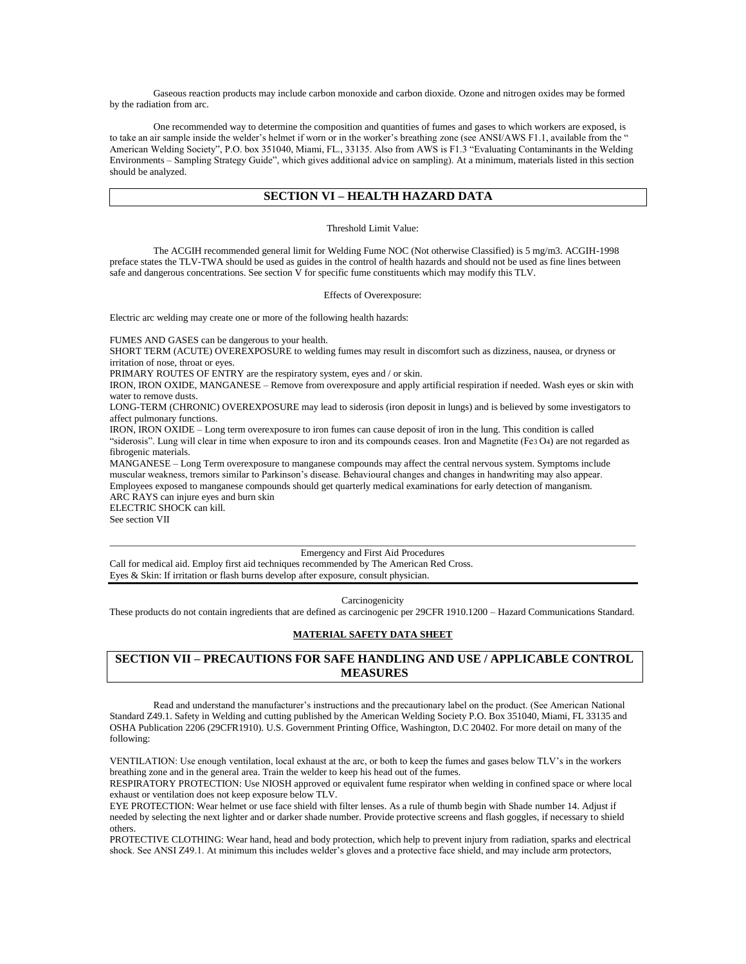Gaseous reaction products may include carbon monoxide and carbon dioxide. Ozone and nitrogen oxides may be formed by the radiation from arc.

One recommended way to determine the composition and quantities of fumes and gases to which workers are exposed, is to take an air sample inside the welder's helmet if worn or in the worker's breathing zone (see ANSI/AWS F1.1, available from the " American Welding Society", P.O. box 351040, Miami, FL., 33135. Also from AWS is F1.3 "Evaluating Contaminants in the Welding Environments – Sampling Strategy Guide", which gives additional advice on sampling). At a minimum, materials listed in this section should be analyzed.

## **SECTION VI – HEALTH HAZARD DATA**

### Threshold Limit Value:

The ACGIH recommended general limit for Welding Fume NOC (Not otherwise Classified) is 5 mg/m3. ACGIH-1998 preface states the TLV-TWA should be used as guides in the control of health hazards and should not be used as fine lines between safe and dangerous concentrations. See section  $\bar{V}$  for specific fume constituents which may modify this TLV.

Effects of Overexposure:

Electric arc welding may create one or more of the following health hazards:

FUMES AND GASES can be dangerous to your health.

SHORT TERM (ACUTE) OVEREXPOSURE to welding fumes may result in discomfort such as dizziness, nausea, or dryness or irritation of nose, throat or eyes.

PRIMARY ROUTES OF ENTRY are the respiratory system, eyes and / or skin.

IRON, IRON OXIDE, MANGANESE – Remove from overexposure and apply artificial respiration if needed. Wash eyes or skin with water to remove dusts.

LONG-TERM (CHRONIC) OVEREXPOSURE may lead to siderosis (iron deposit in lungs) and is believed by some investigators to affect pulmonary functions.

IRON, IRON OXIDE – Long term overexposure to iron fumes can cause deposit of iron in the lung. This condition is called "siderosis". Lung will clear in time when exposure to iron and its compounds ceases. Iron and Magnetite (Fe3 O4) are not regarded as fibrogenic materials.

MANGANESE – Long Term overexposure to manganese compounds may affect the central nervous system. Symptoms include muscular weakness, tremors similar to Parkinson's disease. Behavioural changes and changes in handwriting may also appear. Employees exposed to manganese compounds should get quarterly medical examinations for early detection of manganism. ARC RAYS can injure eyes and burn skin

ELECTRIC SHOCK can kill. See section VII

#### \_\_\_\_\_\_\_\_\_\_\_\_\_\_\_\_\_\_\_\_\_\_\_\_\_\_\_\_\_\_\_\_\_\_\_\_\_\_\_\_\_\_\_\_\_\_\_\_\_\_\_\_\_\_\_\_\_\_\_\_\_\_\_\_\_\_\_\_\_\_\_\_\_\_\_\_\_\_\_\_\_\_\_\_\_\_\_\_\_\_\_\_\_\_\_\_\_\_\_\_\_\_\_\_\_\_\_\_ Emergency and First Aid Procedures

Call for medical aid. Employ first aid techniques recommended by The American Red Cross. Eyes & Skin: If irritation or flash burns develop after exposure, consult physician.

#### Carcinogenicity

These products do not contain ingredients that are defined as carcinogenic per 29CFR 1910.1200 – Hazard Communications Standard.

## **MATERIAL SAFETY DATA SHEET**

# **SECTION VII – PRECAUTIONS FOR SAFE HANDLING AND USE / APPLICABLE CONTROL MEASURES**

Read and understand the manufacturer's instructions and the precautionary label on the product. (See American National Standard Z49.1. Safety in Welding and cutting published by the American Welding Society P.O. Box 351040, Miami, FL 33135 and OSHA Publication 2206 (29CFR1910). U.S. Government Printing Office, Washington, D.C 20402. For more detail on many of the following:

VENTILATION: Use enough ventilation, local exhaust at the arc, or both to keep the fumes and gases below TLV's in the workers breathing zone and in the general area. Train the welder to keep his head out of the fumes.

RESPIRATORY PROTECTION: Use NIOSH approved or equivalent fume respirator when welding in confined space or where local exhaust or ventilation does not keep exposure below TLV.

EYE PROTECTION: Wear helmet or use face shield with filter lenses. As a rule of thumb begin with Shade number 14. Adjust if needed by selecting the next lighter and or darker shade number. Provide protective screens and flash goggles, if necessary to shield others.

PROTECTIVE CLOTHING: Wear hand, head and body protection, which help to prevent injury from radiation, sparks and electrical shock. See ANSI Z49.1. At minimum this includes welder's gloves and a protective face shield, and may include arm protectors,